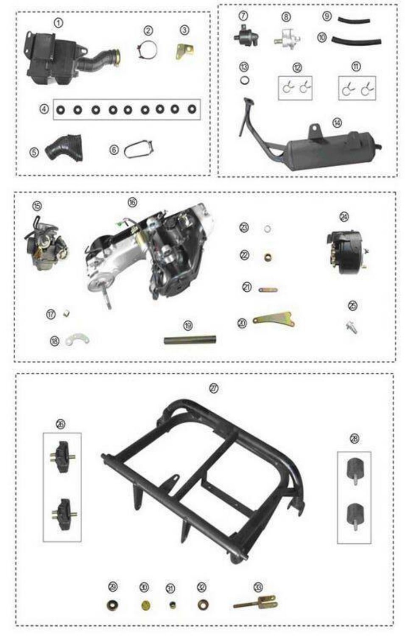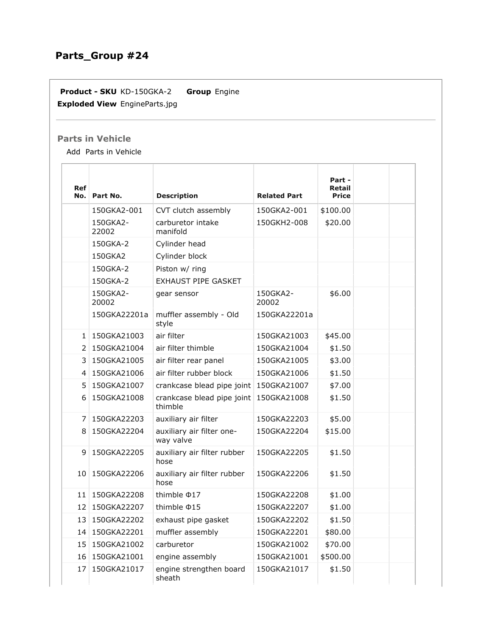## **Product - SKU**  KD-150GKA-2 **Group**  Engine **Exploded View**  EngineParts.jpg

#### **Parts in Vehicle**

| <b>Ref</b><br>No. | Part No.          | <b>Description</b>                     | <b>Related Part</b> | Part -<br>Retail<br><b>Price</b> |  |
|-------------------|-------------------|----------------------------------------|---------------------|----------------------------------|--|
|                   | 150GKA2-001       | CVT clutch assembly                    | 150GKA2-001         | \$100.00                         |  |
|                   | 150GKA2-<br>22002 | carburetor intake<br>manifold          | 150GKH2-008         | \$20.00                          |  |
|                   | 150GKA-2          | Cylinder head                          |                     |                                  |  |
|                   | 150GKA2           | Cylinder block                         |                     |                                  |  |
|                   | 150GKA-2          | Piston w/ ring                         |                     |                                  |  |
|                   | 150GKA-2          | <b>EXHAUST PIPE GASKET</b>             |                     |                                  |  |
|                   | 150GKA2-<br>20002 | gear sensor                            | 150GKA2-<br>20002   | \$6.00                           |  |
|                   | 150GKA22201a      | muffler assembly - Old<br>style        | 150GKA22201a        |                                  |  |
| 1                 | 150GKA21003       | air filter                             | 150GKA21003         | \$45.00                          |  |
| 2                 | 150GKA21004       | air filter thimble                     | 150GKA21004         | \$1.50                           |  |
| 3                 | 150GKA21005       | air filter rear panel                  | 150GKA21005         | \$3.00                           |  |
| 4                 | 150GKA21006       | air filter rubber block                | 150GKA21006         | \$1.50                           |  |
| 5                 | 150GKA21007       | crankcase blead pipe joint             | 150GKA21007         | \$7.00                           |  |
| 6                 | 150GKA21008       | crankcase blead pipe joint<br>thimble  | 150GKA21008         | \$1.50                           |  |
| 7                 | 150GKA22203       | auxiliary air filter                   | 150GKA22203         | \$5.00                           |  |
| 8                 | 150GKA22204       | auxiliary air filter one-<br>way valve | 150GKA22204         | \$15.00                          |  |
| 9                 | 150GKA22205       | auxiliary air filter rubber<br>hose    | 150GKA22205         | \$1.50                           |  |
| 10                | 150GKA22206       | auxiliary air filter rubber<br>hose    | 150GKA22206         | \$1.50                           |  |
| 11                | 150GKA22208       | thimble $\Phi$ 17                      | 150GKA22208         | \$1.00                           |  |
|                   | 12 150GKA22207    | thimble $@15$                          | 150GKA22207         | \$1.00                           |  |
|                   | 13 150GKA22202    | exhaust pipe gasket                    | 150GKA22202         | \$1.50                           |  |
|                   | 14 150GKA22201    | muffler assembly                       | 150GKA22201         | \$80.00                          |  |
| 15                | 150GKA21002       | carburetor                             | 150GKA21002         | \$70.00                          |  |
| 16 <sup>1</sup>   | 150GKA21001       | engine assembly                        | 150GKA21001         | \$500.00                         |  |
| 17                | 150GKA21017       | engine strengthen board<br>sheath      | 150GKA21017         | \$1.50                           |  |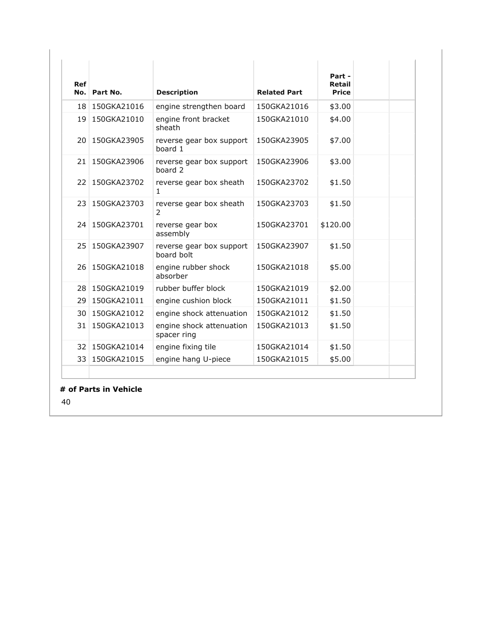| Ref<br>No.      | Part No.       | <b>Description</b>                      | <b>Related Part</b> | Part -<br>Retail<br><b>Price</b> |  |
|-----------------|----------------|-----------------------------------------|---------------------|----------------------------------|--|
|                 | 18 150GKA21016 | engine strengthen board                 | 150GKA21016         | \$3.00                           |  |
| 19 <sup>1</sup> | 150GKA21010    | engine front bracket<br>sheath          | 150GKA21010         | \$4.00                           |  |
|                 | 20 150GKA23905 | reverse gear box support<br>board 1     | 150GKA23905         | \$7.00                           |  |
|                 | 21 150GKA23906 | reverse gear box support<br>board 2     | 150GKA23906         | \$3.00                           |  |
|                 | 22 150GKA23702 | reverse gear box sheath<br>1.           | 150GKA23702         | \$1.50                           |  |
|                 | 23 150GKA23703 | reverse gear box sheath<br>2            | 150GKA23703         | \$1.50                           |  |
|                 | 24 150GKA23701 | reverse gear box<br>assembly            | 150GKA23701         | \$120.00                         |  |
| 25              | 150GKA23907    | reverse gear box support<br>board bolt  | 150GKA23907         | \$1.50                           |  |
|                 | 26 150GKA21018 | engine rubber shock<br>absorber         | 150GKA21018         | \$5.00                           |  |
|                 | 28 150GKA21019 | rubber buffer block                     | 150GKA21019         | \$2.00                           |  |
|                 | 29 150GKA21011 | engine cushion block                    | 150GKA21011         | \$1.50                           |  |
|                 | 30 150GKA21012 | engine shock attenuation                | 150GKA21012         | \$1.50                           |  |
|                 | 31 150GKA21013 | engine shock attenuation<br>spacer ring | 150GKA21013         | \$1.50                           |  |
|                 | 32 150GKA21014 | engine fixing tile                      | 150GKA21014         | \$1.50                           |  |
| 33 <sup>1</sup> | 150GKA21015    | engine hang U-piece                     | 150GKA21015         | \$5.00                           |  |

## **# of Parts in Vehicle**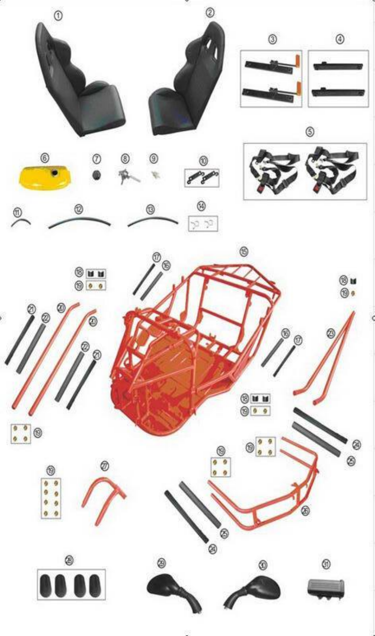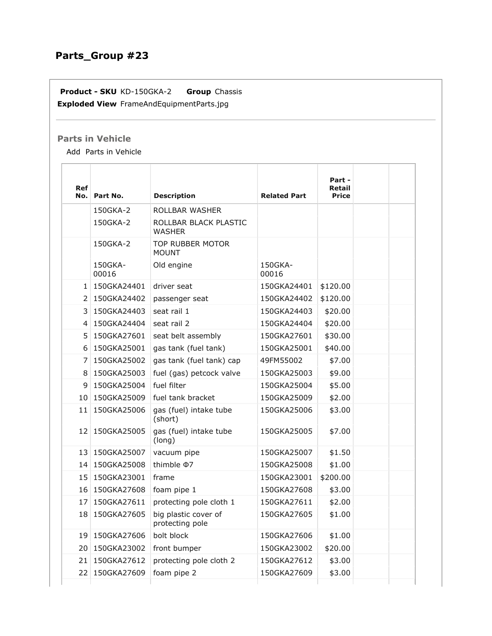# **Product - SKU**  KD-150GKA-2 **Group**  Chassis

**Exploded View**  FrameAndEquipmentParts.jpg

### **Parts in Vehicle**

| Ref<br>No.      | Part No.         | <b>Description</b>                      | <b>Related Part</b> | Part -<br>Retail<br><b>Price</b> |  |
|-----------------|------------------|-----------------------------------------|---------------------|----------------------------------|--|
|                 | 150GKA-2         | ROLLBAR WASHER                          |                     |                                  |  |
|                 | 150GKA-2         | ROLLBAR BLACK PLASTIC<br><b>WASHER</b>  |                     |                                  |  |
|                 | 150GKA-2         | TOP RUBBER MOTOR<br><b>MOUNT</b>        |                     |                                  |  |
|                 | 150GKA-<br>00016 | Old engine                              | 150GKA-<br>00016    |                                  |  |
| $\mathbf{1}$    | 150GKA24401      | driver seat                             | 150GKA24401         | \$120.00                         |  |
|                 | 2 150GKA24402    | passenger seat                          | 150GKA24402         | \$120.00                         |  |
| 3               | 150GKA24403      | seat rail 1                             | 150GKA24403         | \$20.00                          |  |
| $\overline{4}$  | 150GKA24404      | seat rail 2                             | 150GKA24404         | \$20.00                          |  |
| 5               | 150GKA27601      | seat belt assembly                      | 150GKA27601         | \$30.00                          |  |
| 6               | 150GKA25001      | gas tank (fuel tank)                    | 150GKA25001         | \$40.00                          |  |
| 7               | 150GKA25002      | gas tank (fuel tank) cap                | 49FM55002           | \$7.00                           |  |
| 8               | 150GKA25003      | fuel (gas) petcock valve                | 150GKA25003         | \$9.00                           |  |
| 9               | 150GKA25004      | fuel filter                             | 150GKA25004         | \$5.00                           |  |
|                 | 10 150GKA25009   | fuel tank bracket                       | 150GKA25009         | \$2.00                           |  |
| 11              | 150GKA25006      | gas (fuel) intake tube<br>(short)       | 150GKA25006         | \$3.00                           |  |
| 12              | 150GKA25005      | gas (fuel) intake tube<br>(long)        | 150GKA25005         | \$7.00                           |  |
|                 | 13 150GKA25007   | vacuum pipe                             | 150GKA25007         | \$1.50                           |  |
|                 | 14 150GKA25008   | thimble $\Phi$ 7                        | 150GKA25008         | \$1.00                           |  |
| 15 <sup>1</sup> | 150GKA23001      | frame                                   | 150GKA23001         | \$200.00                         |  |
| 16              | 150GKA27608      | foam pipe 1                             | 150GKA27608         | \$3.00                           |  |
| 17              | 150GKA27611      | protecting pole cloth 1                 | 150GKA27611         | \$2.00                           |  |
|                 | 18 150GKA27605   | big plastic cover of<br>protecting pole | 150GKA27605         | \$1.00                           |  |
| 19              | 150GKA27606      | bolt block                              | 150GKA27606         | \$1.00                           |  |
| 20              | 150GKA23002      | front bumper                            | 150GKA23002         | \$20.00                          |  |
| 21              | 150GKA27612      | protecting pole cloth 2                 | 150GKA27612         | \$3.00                           |  |
| 22              | 150GKA27609      | foam pipe 2                             | 150GKA27609         | \$3.00                           |  |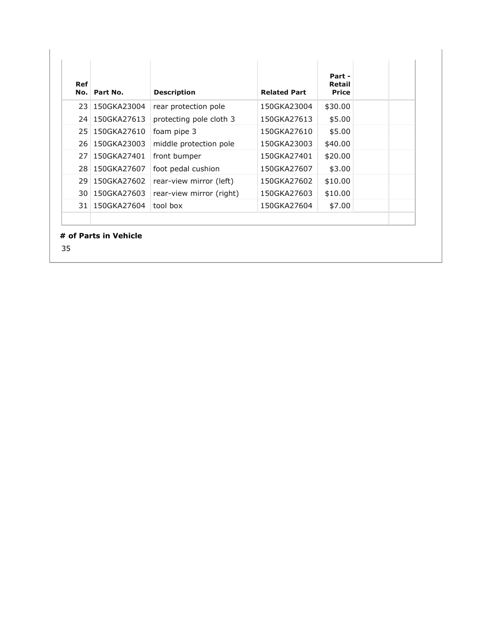| <b>Ref</b><br>No. | Part No.    | <b>Description</b>       | <b>Related Part</b> | Part -<br>Retail<br><b>Price</b> |  |
|-------------------|-------------|--------------------------|---------------------|----------------------------------|--|
| 23                | 150GKA23004 | rear protection pole     | 150GKA23004         | \$30.00                          |  |
| 24                | 150GKA27613 | protecting pole cloth 3  | 150GKA27613         | \$5.00                           |  |
| 25 <sup>1</sup>   | 150GKA27610 | foam pipe 3              | 150GKA27610         | \$5.00                           |  |
| 26                | 150GKA23003 | middle protection pole   | 150GKA23003         | \$40.00                          |  |
| 27                | 150GKA27401 | front bumper             | 150GKA27401         | \$20.00                          |  |
| 28                | 150GKA27607 | foot pedal cushion       | 150GKA27607         | \$3.00                           |  |
| 29                | 150GKA27602 | rear-view mirror (left)  | 150GKA27602         | \$10.00                          |  |
| 30                | 150GKA27603 | rear-view mirror (right) | 150GKA27603         | \$10.00                          |  |
| 31                | 150GKA27604 | tool box                 | 150GKA27604         | \$7.00                           |  |
|                   |             |                          |                     |                                  |  |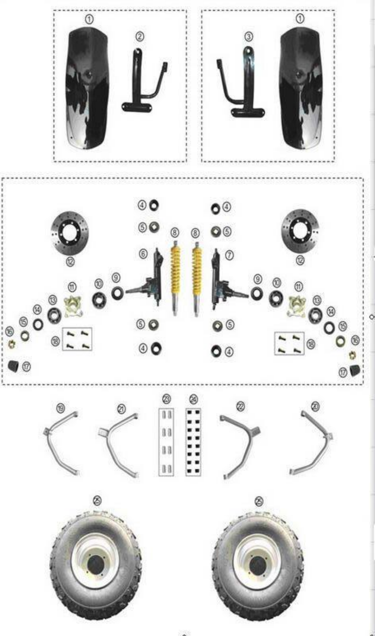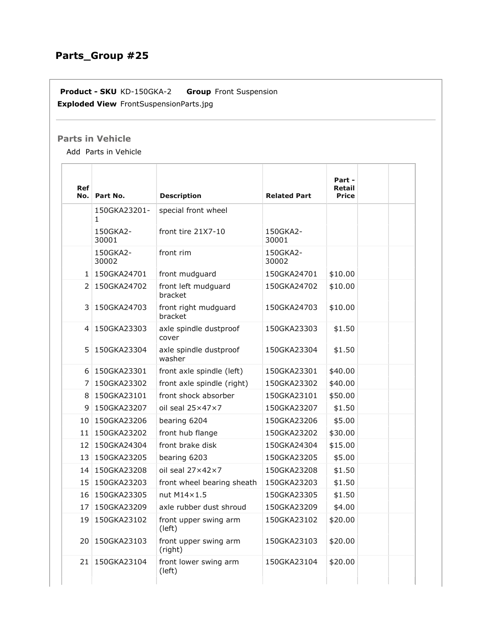## **Product - SKU**  KD-150GKA-2 **Group**  Front Suspension

**Exploded View**  FrontSuspensionParts.jpg

#### **Parts in Vehicle**

| <b>Ref</b><br>No. | Part No.          | <b>Description</b>               | <b>Related Part</b> | Part -<br>Retail<br><b>Price</b> |  |
|-------------------|-------------------|----------------------------------|---------------------|----------------------------------|--|
|                   | 150GKA23201-<br>1 | special front wheel              |                     |                                  |  |
|                   | 150GKA2-<br>30001 | front tire 21X7-10               | 150GKA2-<br>30001   |                                  |  |
|                   | 150GKA2-<br>30002 | front rim                        | 150GKA2-<br>30002   |                                  |  |
| 1                 | 150GKA24701       | front mudguard                   | 150GKA24701         | \$10.00                          |  |
| 2                 | 150GKA24702       | front left mudguard<br>bracket   | 150GKA24702         | \$10.00                          |  |
| 3                 | 150GKA24703       | front right mudguard<br>bracket  | 150GKA24703         | \$10.00                          |  |
| 4                 | 150GKA23303       | axle spindle dustproof<br>cover  | 150GKA23303         | \$1.50                           |  |
| 5                 | 150GKA23304       | axle spindle dustproof<br>washer | 150GKA23304         | \$1.50                           |  |
| 6                 | 150GKA23301       | front axle spindle (left)        | 150GKA23301         | \$40.00                          |  |
| 7                 | 150GKA23302       | front axle spindle (right)       | 150GKA23302         | \$40.00                          |  |
| 8                 | 150GKA23101       | front shock absorber             | 150GKA23101         | \$50.00                          |  |
| 9                 | 150GKA23207       | oil seal 25×47×7                 | 150GKA23207         | \$1.50                           |  |
| 10                | 150GKA23206       | bearing 6204                     | 150GKA23206         | \$5.00                           |  |
| 11                | 150GKA23202       | front hub flange                 | 150GKA23202         | \$30.00                          |  |
| 12                | 150GKA24304       | front brake disk                 | 150GKA24304         | \$15.00                          |  |
| 13                | 150GKA23205       | bearing 6203                     | 150GKA23205         | \$5.00                           |  |
| 14                | 150GKA23208       | oil seal 27×42×7                 | 150GKA23208         | \$1.50                           |  |
| 15                | 150GKA23203       | front wheel bearing sheath       | 150GKA23203         | \$1.50                           |  |
| 16                | 150GKA23305       | nut M14×1.5                      | 150GKA23305         | \$1.50                           |  |
| 17                | 150GKA23209       | axle rubber dust shroud          | 150GKA23209         | \$4.00                           |  |
|                   | 19 150GKA23102    | front upper swing arm<br>(left)  | 150GKA23102         | \$20.00                          |  |
| 20                | 150GKA23103       | front upper swing arm<br>(right) | 150GKA23103         | \$20.00                          |  |
| 21                | 150GKA23104       | front lower swing arm<br>(left)  | 150GKA23104         | \$20.00                          |  |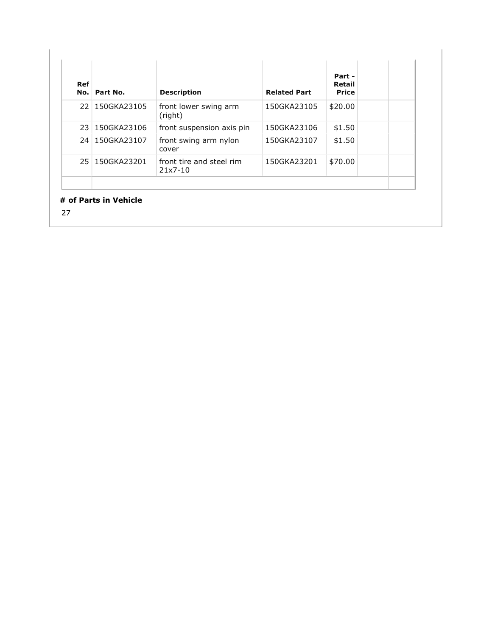| <b>Ref</b><br>No. | Part No.    | <b>Description</b>                    | <b>Related Part</b> | Part -<br>Retail<br><b>Price</b> |  |
|-------------------|-------------|---------------------------------------|---------------------|----------------------------------|--|
| 22                | 150GKA23105 | front lower swing arm<br>(right)      | 150GKA23105         | \$20.00                          |  |
| 23                | 150GKA23106 | front suspension axis pin             | 150GKA23106         | \$1.50                           |  |
| 24                | 150GKA23107 | front swing arm nylon<br>cover        | 150GKA23107         | \$1.50                           |  |
| 25                | 150GKA23201 | front tire and steel rim<br>$21x7-10$ | 150GKA23201         | \$70.00                          |  |
|                   |             |                                       |                     |                                  |  |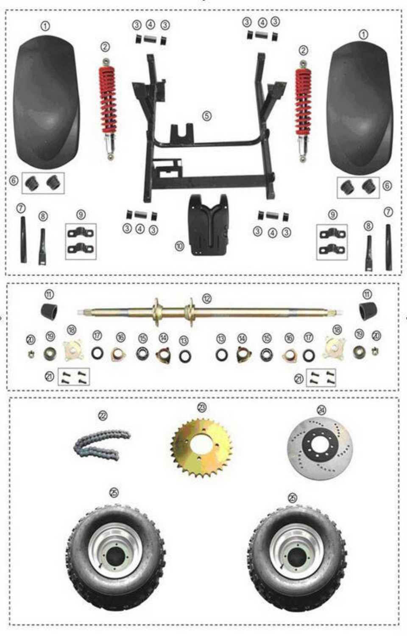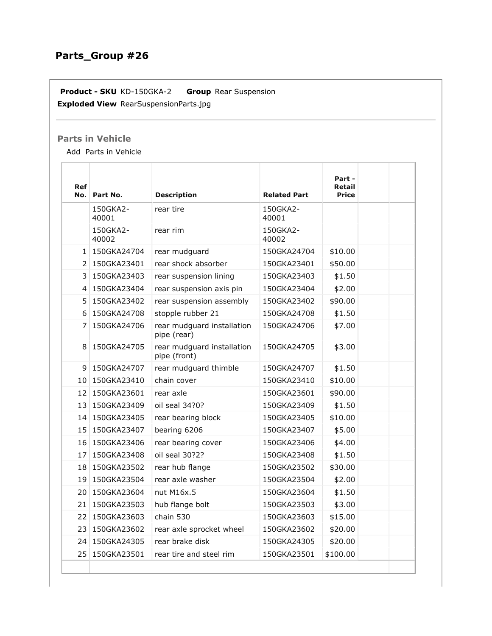## **Product - SKU**  KD-150GKA-2 **Group**  Rear Suspension

**Exploded View** RearSuspensionParts.jpg

### **Parts in Vehicle**

| <b>Ref</b><br>No. | Part No.          | <b>Description</b>                         | <b>Related Part</b> | Part -<br><b>Retail</b><br><b>Price</b> |  |
|-------------------|-------------------|--------------------------------------------|---------------------|-----------------------------------------|--|
|                   | 150GKA2-<br>40001 | rear tire                                  | 150GKA2-<br>40001   |                                         |  |
|                   | 150GKA2-<br>40002 | rear rim                                   | 150GKA2-<br>40002   |                                         |  |
| $\mathbf{1}$      | 150GKA24704       | rear mudguard                              | 150GKA24704         | \$10.00                                 |  |
|                   | 2 150GKA23401     | rear shock absorber                        | 150GKA23401         | \$50.00                                 |  |
| 3                 | 150GKA23403       | rear suspension lining                     | 150GKA23403         | \$1.50                                  |  |
|                   | 4 150GKA23404     | rear suspension axis pin                   | 150GKA23404         | \$2.00                                  |  |
| 5                 | 150GKA23402       | rear suspension assembly                   | 150GKA23402         | \$90.00                                 |  |
| 6                 | 150GKA24708       | stopple rubber 21                          | 150GKA24708         | \$1.50                                  |  |
| 7                 | 150GKA24706       | rear mudguard installation<br>pipe (rear)  | 150GKA24706         | \$7.00                                  |  |
| 8                 | 150GKA24705       | rear mudguard installation<br>pipe (front) | 150GKA24705         | \$3.00                                  |  |
| 9                 | 150GKA24707       | rear mudguard thimble                      | 150GKA24707         | \$1.50                                  |  |
|                   | 10 150GKA23410    | chain cover                                | 150GKA23410         | \$10.00                                 |  |
|                   | 12 150GKA23601    | rear axle                                  | 150GKA23601         | \$90.00                                 |  |
| 13                | 150GKA23409       | oil seal 34?0?                             | 150GKA23409         | \$1.50                                  |  |
|                   | 14   150GKA23405  | rear bearing block                         | 150GKA23405         | \$10.00                                 |  |
|                   | 15 150GKA23407    | bearing 6206                               | 150GKA23407         | \$5.00                                  |  |
|                   | 16 150GKA23406    | rear bearing cover                         | 150GKA23406         | \$4.00                                  |  |
| 17                | 150GKA23408       | oil seal 30?2?                             | 150GKA23408         | \$1.50                                  |  |
| 18                | 150GKA23502       | rear hub flange                            | 150GKA23502         | \$30.00                                 |  |
| 19                | 150GKA23504       | rear axle washer                           | 150GKA23504         | \$2.00                                  |  |
| 20                | 150GKA23604       | nut M16x.5                                 | 150GKA23604         | \$1.50                                  |  |
| 21                | 150GKA23503       | hub flange bolt                            | 150GKA23503         | \$3.00                                  |  |
|                   | 22 150GKA23603    | chain 530                                  | 150GKA23603         | \$15.00                                 |  |
| 23                | 150GKA23602       | rear axle sprocket wheel                   | 150GKA23602         | \$20.00                                 |  |
| 24                | 150GKA24305       | rear brake disk                            | 150GKA24305         | \$20.00                                 |  |
| 25                | 150GKA23501       | rear tire and steel rim                    | 150GKA23501         | \$100.00                                |  |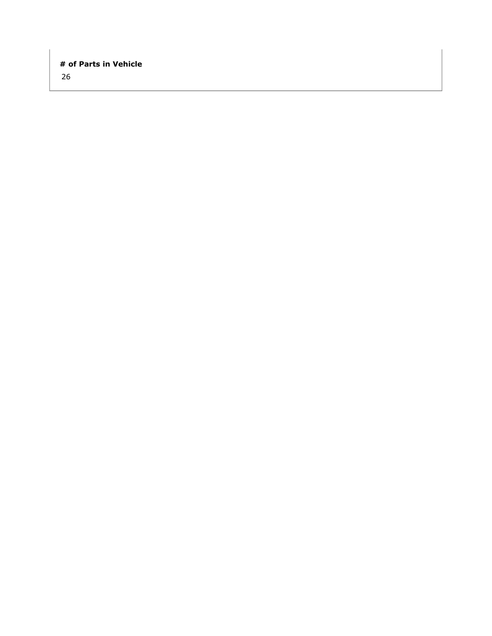# **# of Parts in Vehicle**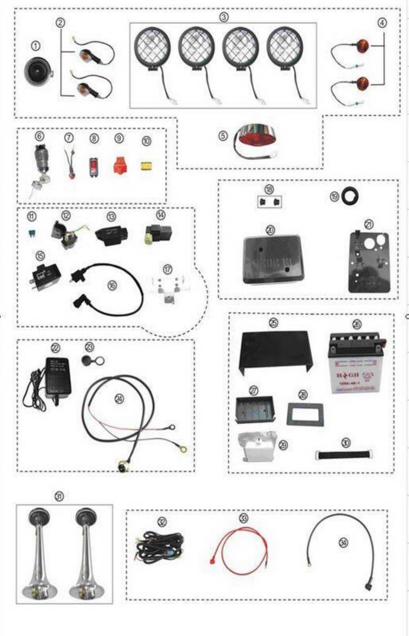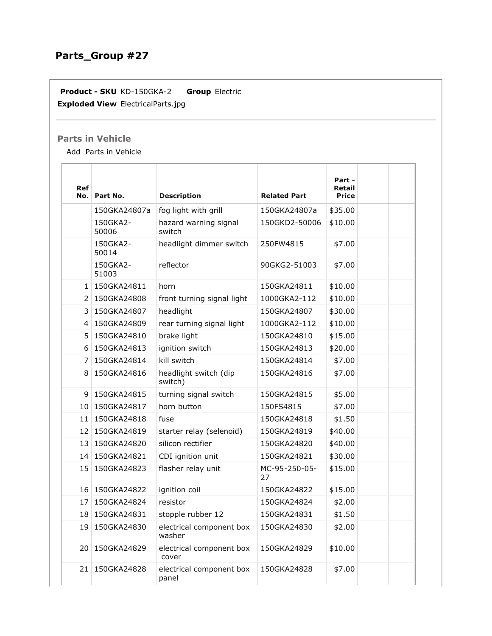## **Product - SKU**  KD-150GKA-2 **Group**  Electric **Exploded View**  ElectricalParts.jpg

#### **Parts in Vehicle**

| <b>Ref</b><br>No. | Part No.          | <b>Description</b>                 | <b>Related Part</b> | Part -<br>Retail<br><b>Price</b> |  |
|-------------------|-------------------|------------------------------------|---------------------|----------------------------------|--|
|                   | 150GKA24807a      | fog light with grill               | 150GKA24807a        | \$35.00                          |  |
|                   | 150GKA2-<br>50006 | hazard warning signal<br>switch    | 150GKD2-50006       | \$10.00                          |  |
|                   | 150GKA2-<br>50014 | headlight dimmer switch            | 250FW4815           | \$7.00                           |  |
|                   | 150GKA2-<br>51003 | reflector                          | 90GKG2-51003        | \$7.00                           |  |
| 1                 | 150GKA24811       | horn                               | 150GKA24811         | \$10.00                          |  |
| 2                 | 150GKA24808       | front turning signal light         | 1000GKA2-112        | \$10.00                          |  |
| 3                 | 150GKA24807       | headlight                          | 150GKA24807         | \$30.00                          |  |
| 4                 | 150GKA24809       | rear turning signal light          | 1000GKA2-112        | \$10.00                          |  |
| 5                 | 150GKA24810       | brake light                        | 150GKA24810         | \$15.00                          |  |
| 6                 | 150GKA24813       | ignition switch                    | 150GKA24813         | \$20.00                          |  |
| 7                 | 150GKA24814       | kill switch                        | 150GKA24814         | \$7.00                           |  |
| 8                 | 150GKA24816       | headlight switch (dip<br>switch)   | 150GKA24816         | \$7.00                           |  |
| 9                 | 150GKA24815       | turning signal switch              | 150GKA24815         | \$5.00                           |  |
| 10 <sup>1</sup>   | 150GKA24817       | horn button                        | 150FS4815           | \$7.00                           |  |
| 11                | 150GKA24818       | fuse                               | 150GKA24818         | \$1.50                           |  |
| 12                | 150GKA24819       | starter relay (selenoid)           | 150GKA24819         | \$40.00                          |  |
| 13 <sup>1</sup>   | 150GKA24820       | silicon rectifier                  | 150GKA24820         | \$40.00                          |  |
| 14 <sup>1</sup>   | 150GKA24821       | CDI ignition unit                  | 150GKA24821         | \$30.00                          |  |
| 15 <sup>1</sup>   | 150GKA24823       | flasher relay unit                 | MC-95-250-05-<br>27 | \$15.00                          |  |
| 16 <sup>1</sup>   | 150GKA24822       | ignition coil                      | 150GKA24822         | \$15.00                          |  |
| 17                | 150GKA24824       | resistor                           | 150GKA24824         | \$2.00                           |  |
| 18                | 150GKA24831       | stopple rubber 12                  | 150GKA24831         | \$1.50                           |  |
| 19                | 150GKA24830       | electrical component box<br>washer | 150GKA24830         | \$2.00                           |  |
| 20 <sub>1</sub>   | 150GKA24829       | electrical component box<br>cover  | 150GKA24829         | \$10.00                          |  |
| 21                | 150GKA24828       | electrical component box<br>panel  | 150GKA24828         | \$7.00                           |  |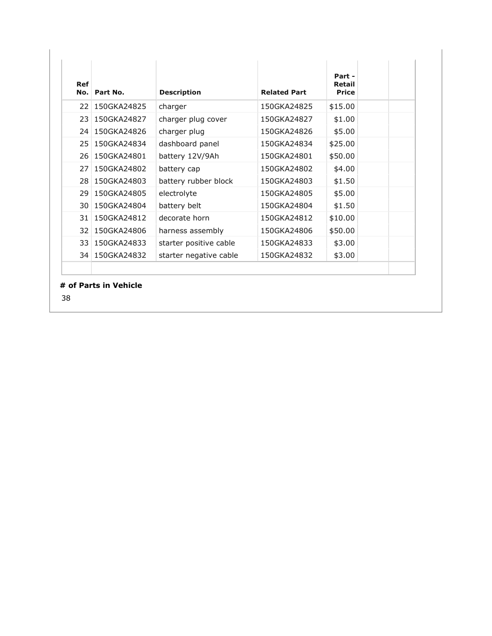| Ref<br>No. | Part No.       | <b>Description</b>     | <b>Related Part</b> | Part -<br><b>Retail</b><br><b>Price</b> |  |
|------------|----------------|------------------------|---------------------|-----------------------------------------|--|
|            | 22 150GKA24825 | charger                | 150GKA24825         | \$15.00                                 |  |
|            | 23 150GKA24827 | charger plug cover     | 150GKA24827         | \$1.00                                  |  |
|            | 24 150GKA24826 | charger plug           | 150GKA24826         | \$5.00                                  |  |
|            | 25 150GKA24834 | dashboard panel        | 150GKA24834         | \$25.00                                 |  |
|            | 26 150GKA24801 | battery 12V/9Ah        | 150GKA24801         | \$50.00                                 |  |
| 27         | 150GKA24802    | battery cap            | 150GKA24802         | \$4.00                                  |  |
|            | 28 150GKA24803 | battery rubber block   | 150GKA24803         | \$1.50                                  |  |
| 29         | 150GKA24805    | electrolyte            | 150GKA24805         | \$5.00                                  |  |
|            | 30 150GKA24804 | battery belt           | 150GKA24804         | \$1.50                                  |  |
| 31         | 150GKA24812    | decorate horn          | 150GKA24812         | \$10.00                                 |  |
|            | 32 150GKA24806 | harness assembly       | 150GKA24806         | \$50.00                                 |  |
|            | 33 150GKA24833 | starter positive cable | 150GKA24833         | \$3.00                                  |  |
|            | 34 150GKA24832 | starter negative cable | 150GKA24832         | \$3.00                                  |  |

## **# of Parts in Vehicle**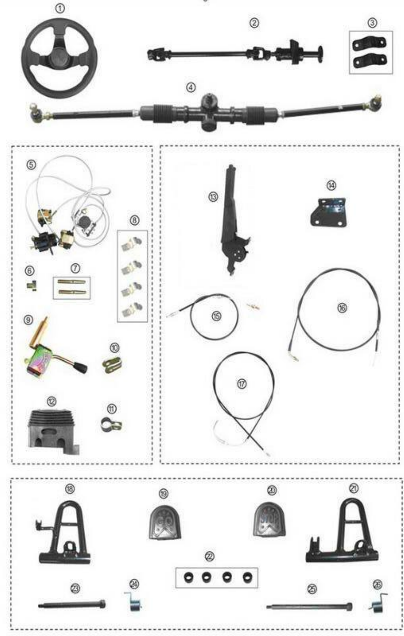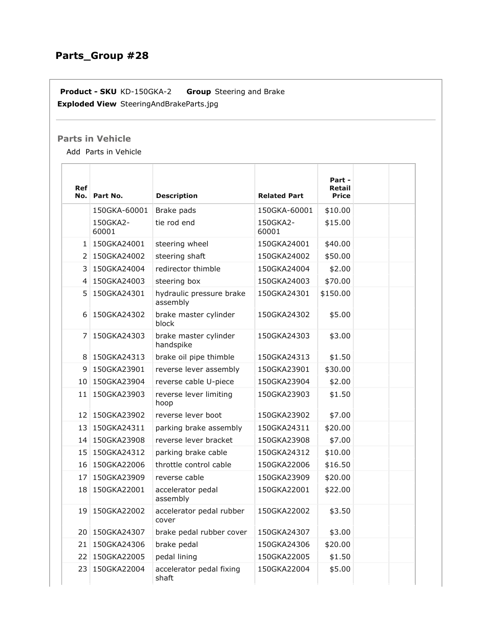## **Product - SKU**  KD-150GKA-2 **Group**  Steering and Brake

**Exploded View**  SteeringAndBrakeParts.jpg

### **Parts in Vehicle**

| <b>Ref</b><br>No. | Part No.          | <b>Description</b>                    | <b>Related Part</b> | Part -<br><b>Retail</b><br><b>Price</b> |  |
|-------------------|-------------------|---------------------------------------|---------------------|-----------------------------------------|--|
|                   | 150GKA-60001      | Brake pads                            | 150GKA-60001        | \$10.00                                 |  |
|                   | 150GKA2-<br>60001 | tie rod end                           | 150GKA2-<br>60001   | \$15.00                                 |  |
| 1                 | 150GKA24001       | steering wheel                        | 150GKA24001         | \$40.00                                 |  |
| 2                 | 150GKA24002       | steering shaft                        | 150GKA24002         | \$50.00                                 |  |
| 3                 | 150GKA24004       | redirector thimble                    | 150GKA24004         | \$2.00                                  |  |
| 4                 | 150GKA24003       | steering box                          | 150GKA24003         | \$70.00                                 |  |
| 5                 | 150GKA24301       | hydraulic pressure brake<br>assembly  | 150GKA24301         | \$150.00                                |  |
| 6                 | 150GKA24302       | brake master cylinder<br><b>block</b> | 150GKA24302         | \$5.00                                  |  |
| 7                 | 150GKA24303       | brake master cylinder<br>handspike    | 150GKA24303         | \$3.00                                  |  |
| 8                 | 150GKA24313       | brake oil pipe thimble                | 150GKA24313         | \$1.50                                  |  |
| 9                 | 150GKA23901       | reverse lever assembly                | 150GKA23901         | \$30.00                                 |  |
| 10                | 150GKA23904       | reverse cable U-piece                 | 150GKA23904         | \$2.00                                  |  |
| 11                | 150GKA23903       | reverse lever limiting<br>hoop        | 150GKA23903         | \$1.50                                  |  |
| 12                | 150GKA23902       | reverse lever boot                    | 150GKA23902         | \$7.00                                  |  |
| 13                | 150GKA24311       | parking brake assembly                | 150GKA24311         | \$20.00                                 |  |
| 14                | 150GKA23908       | reverse lever bracket                 | 150GKA23908         | \$7.00                                  |  |
| 15                | 150GKA24312       | parking brake cable                   | 150GKA24312         | \$10.00                                 |  |
| 16                | 150GKA22006       | throttle control cable                | 150GKA22006         | \$16.50                                 |  |
| 17                | 150GKA23909       | reverse cable                         | 150GKA23909         | \$20.00                                 |  |
| 18                | 150GKA22001       | accelerator pedal<br>assembly         | 150GKA22001         | \$22.00                                 |  |
| 19 <sup>1</sup>   | 150GKA22002       | accelerator pedal rubber<br>cover     | 150GKA22002         | \$3.50                                  |  |
| 20                | 150GKA24307       | brake pedal rubber cover              | 150GKA24307         | \$3.00                                  |  |
| 21                | 150GKA24306       | brake pedal                           | 150GKA24306         | \$20.00                                 |  |
| 22                | 150GKA22005       | pedal lining                          | 150GKA22005         | \$1.50                                  |  |
| 23                | 150GKA22004       | accelerator pedal fixing<br>shaft     | 150GKA22004         | \$5.00                                  |  |